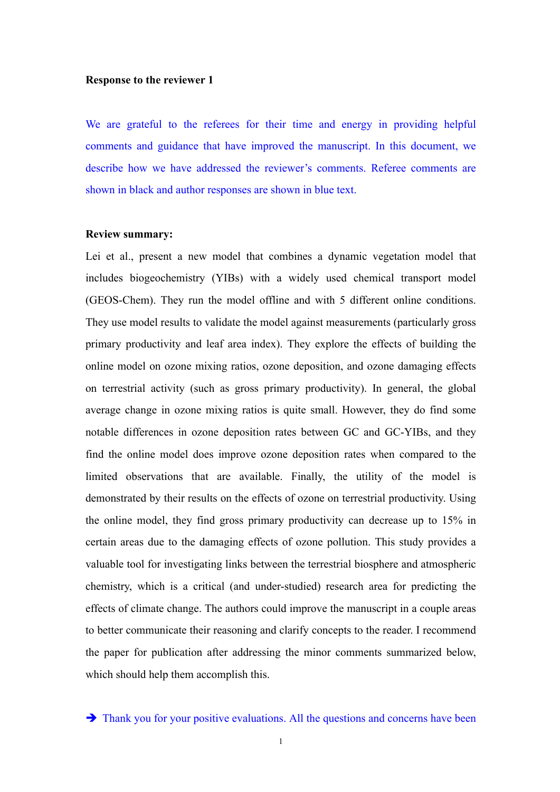## **Response to the reviewer 1**

We are grateful to the referees for their time and energy in providing helpful comments and guidance that have improved the manuscript. In this document, we describe how we have addressed the reviewer's comments. Referee comments are shown in black and author responses are shown in blue text.

## **Review summary:**

Lei et al., present a new model that combines a dynamic vegetation model that includes biogeochemistry (YIBs) with a widely used chemical transport model (GEOS-Chem). They run the model offline and with 5 different online conditions. They use model results to validate the model against measurements (particularly gross primary productivity and leaf area index). They explore the effects of building the online model on ozone mixing ratios, ozone deposition, and ozone damaging effects on terrestrial activity (such as gross primary productivity). In general, the global average change in ozone mixing ratios is quite small. However, they do find some notable differences in ozone deposition rates between GC and GC-YIBs, and they find the online model does improve ozone deposition rates when compared to the limited observations that are available. Finally, the utility of the model is demonstrated by their results on the effects of ozone on terrestrial productivity. Using the online model, they find gross primary productivity can decrease up to 15% in certain areas due to the damaging effects of ozone pollution. This study provides a valuable tool for investigating links between the terrestrial biosphere and atmospheric chemistry, which is a critical (and under-studied) research area for predicting the effects of climate change. The authors could improve the manuscript in a couple areas to better communicate their reasoning and clarify concepts to the reader. I recommend the paper for publication after addressing the minor comments summarized below, which should help them accomplish this.

 $\rightarrow$  Thank you for your positive evaluations. All the questions and concerns have been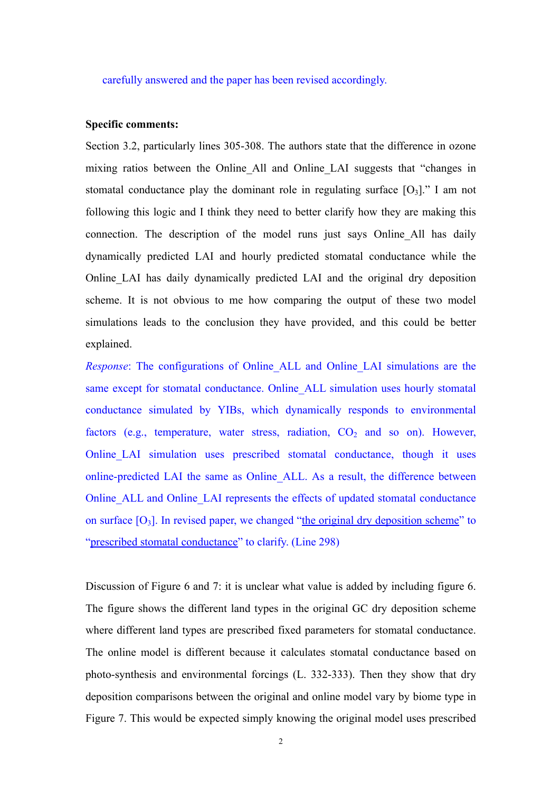carefully answered and the paper has been revised accordingly.

## **Specific comments:**

Section 3.2, particularly lines 305-308. The authors state that the difference in ozone mixing ratios between the Online All and Online LAI suggests that "changes in stomatal conductance play the dominant role in regulating surface  $[O_3]$ ." I am not following this logic and I think they need to better clarify how they are making this connection. The description of the model runs just says Online\_All has daily dynamically predicted LAI and hourly predicted stomatal conductance while the Online\_LAI has daily dynamically predicted LAI and the original dry deposition scheme. It is not obvious to me how comparing the output of these two model simulations leads to the conclusion they have provided, and this could be better explained.

*Response*: The configurations of Online\_ALL and Online\_LAI simulations are the same except for stomatal conductance. Online ALL simulation uses hourly stomatal conductance simulated by YIBs, which dynamically responds to environmental factors (e.g., temperature, water stress, radiation,  $CO<sub>2</sub>$  and so on). However, Online LAI simulation uses prescribed stomatal conductance, though it uses online-predicted LAI the same as Online\_ALL. As a result, the difference between Online\_ALL and Online\_LAI represents the effects of updated stomatal conductance on surface  $[O_3]$ . In revised paper, we changed "the original dry deposition scheme" to "prescribed stomatal conductance" to clarify. (Line 298)

Discussion of Figure 6 and 7: it is unclear what value is added by including figure 6. The figure shows the different land types in the original GC dry deposition scheme where different land types are prescribed fixed parameters for stomatal conductance. The online model is different because it calculates stomatal conductance based on photo-synthesis and environmental forcings (L. 332-333). Then they show that dry deposition comparisons between the original and online model vary by biome type in Figure 7. This would be expected simply knowing the original model uses prescribed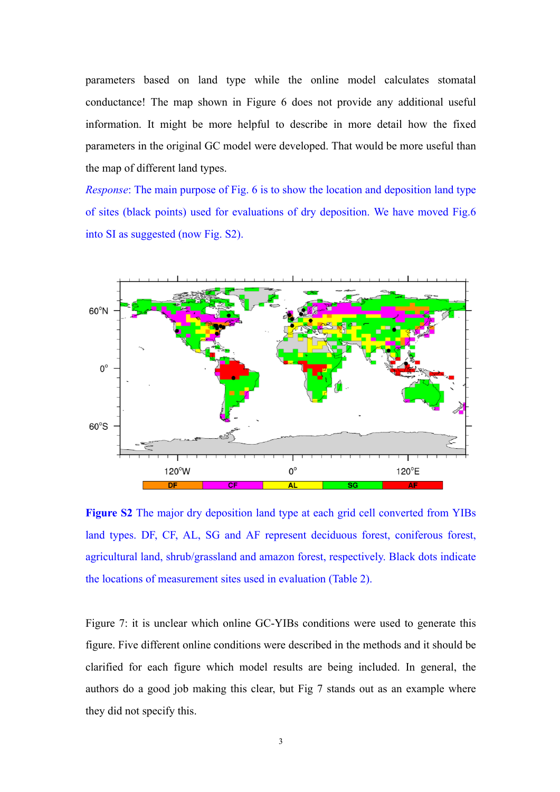parameters based on land type while the online model calculates stomatal conductance! The map shown in Figure 6 does not provide any additional useful information. It might be more helpful to describe in more detail how the fixed parameters in the original GC model were developed. That would be more useful than the map of different land types.

*Response*: The main purpose of Fig. 6 is to show the location and deposition land type of sites (black points) used for evaluations of dry deposition. We have moved Fig.6 into SI as suggested (now Fig. S2).



**Figure S2** The major dry deposition land type at each grid cell converted from YIBs land types. DF, CF, AL, SG and AF represent deciduous forest, coniferous forest, agricultural land, shrub/grassland and amazon forest, respectively. Black dots indicate the locations of measurement sites used in evaluation (Table 2).

Figure 7: it is unclear which online GC-YIBs conditions were used to generate this figure. Five different online conditions were described in the methods and it should be clarified for each figure which model results are being included. In general, the authors do a good job making this clear, but Fig 7 stands out as an example where they did not specify this.